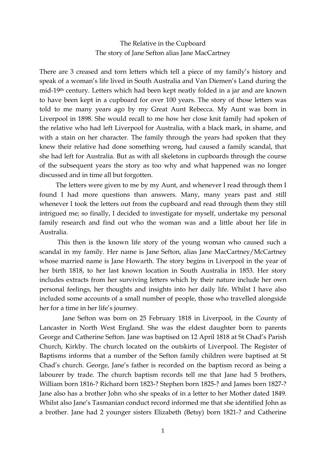## The Relative in the Cupboard The story of Jane Sefton alias Jane MacCartney

There are 3 creased and torn letters which tell a piece of my family's history and speak of a woman's life lived in South Australia and Van Diemen's Land during the mid-19th century. Letters which had been kept neatly folded in a jar and are known to have been kept in a cupboard for over 100 years. The story of those letters was told to me many years ago by my Great Aunt Rebecca. My Aunt was born in Liverpool in 1898. She would recall to me how her close knit family had spoken of the relative who had left Liverpool for Australia, with a black mark, in shame, and with a stain on her character. The family through the years had spoken that they knew their relative had done something wrong, had caused a family scandal, that she had left for Australia. But as with all skeletons in cupboards through the course of the subsequent years the story as too why and what happened was no longer discussed and in time all but forgotten.

 The letters were given to me by my Aunt, and whenever I read through them I found I had more questions than answers. Many, many years past and still whenever I took the letters out from the cupboard and read through them they still intrigued me; so finally, I decided to investigate for myself, undertake my personal family research and find out who the woman was and a little about her life in Australia.

 This then is the known life story of the young woman who caused such a scandal in my family. Her name is Jane Sefton, alias Jane MacCartney/McCartney whose married name is Jane Howarth. The story begins in Liverpool in the year of her birth 1818, to her last known location in South Australia in 1853. Her story includes extracts from her surviving letters which by their nature include her own personal feelings, her thoughts and insights into her daily life. Whilst I have also included some accounts of a small number of people, those who travelled alongside her for a time in her life's journey.

 Jane Sefton was born on 25 February 1818 in Liverpool, in the County of Lancaster in North West England. She was the eldest daughter born to parents George and Catherine Sefton. Jane was baptised on 12 April 1818 at St Chad's Parish Church, Kirkby. The church located on the outskirts of Liverpool. The Register of Baptisms informs that a number of the Sefton family children were baptised at St Chad's church. George, Jane's father is recorded on the baptism record as being a labourer by trade. The church baptism records tell me that Jane had 5 brothers, William born 1816-? Richard born 1823-? Stephen born 1825-? and James born 1827-? Jane also has a brother John who she speaks of in a letter to her Mother dated 1849. Whilst also Jane's Tasmanian conduct record informed me that she identified John as a brother. Jane had 2 younger sisters Elizabeth (Betsy) born 1821-? and Catherine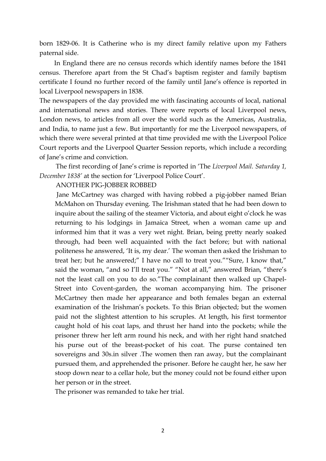born 1829-06. It is Catherine who is my direct family relative upon my Fathers paternal side.

 In England there are no census records which identify names before the 1841 census. Therefore apart from the St Chad's baptism register and family baptism certificate I found no further record of the family until Jane's offence is reported in local Liverpool newspapers in 1838.

The newspapers of the day provided me with fascinating accounts of local, national and international news and stories. There were reports of local Liverpool news, London news, to articles from all over the world such as the Americas, Australia, and India, to name just a few. But importantly for me the Liverpool newspapers, of which there were several printed at that time provided me with the Liverpool Police Court reports and the Liverpool Quarter Session reports, which include a recording of Jane's crime and conviction.

 The first recording of Jane's crime is reported in 'The *Liverpool Mail. Saturday 1, December 1838'* at the section for 'Liverpool Police Court'.

ANOTHER PIG-JOBBER ROBBED

 Jane McCartney was charged with having robbed a pig-jobber named Brian McMahon on Thursday evening. The Irishman stated that he had been down to inquire about the sailing of the steamer Victoria, and about eight o'clock he was returning to his lodgings in Jamaica Street, when a woman came up and informed him that it was a very wet night. Brian, being pretty nearly soaked through, had been well acquainted with the fact before; but with national politeness he answered, 'It is, my dear.' The woman then asked the Irishman to treat her; but he answered;" I have no call to treat you.""Sure, I know that," said the woman, "and so I'll treat you." "Not at all," answered Brian, "there's not the least call on you to do so."The complainant then walked up Chapel-Street into Covent-garden, the woman accompanying him. The prisoner McCartney then made her appearance and both females began an external examination of the Irishman's pockets. To this Brian objected; but the women paid not the slightest attention to his scruples. At length, his first tormentor caught hold of his coat laps, and thrust her hand into the pockets; while the prisoner threw her left arm round his neck, and with her right hand snatched his purse out of the breast-pocket of his coat. The purse contained ten sovereigns and 30s.in silver .The women then ran away, but the complainant pursued them, and apprehended the prisoner. Before he caught her, he saw her stoop down near to a cellar hole, but the money could not be found either upon her person or in the street.

The prisoner was remanded to take her trial.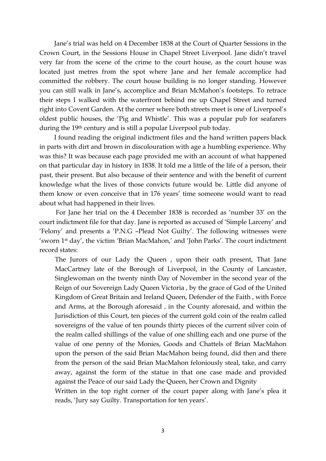Jane's trial was held on 4 December 1838 at the Court of Quarter Sessions in the Crown Court, in the Sessions House in Chapel Street Liverpool. Jane didn't travel very far from the scene of the crime to the court house, as the court house was located just metres from the spot where Jane and her female accomplice had committed the robbery. The court house building is no longer standing. However you can still walk in Jane's, accomplice and Brian McMahon's footsteps. To retrace their steps I walked with the waterfront behind me up Chapel Street and turned right into Covent Garden. At the corner where both streets meet is one of Liverpool's oldest public houses, the 'Pig and Whistle'. This was a popular pub for seafarers during the 19th century and is still a popular Liverpool pub today.

 I found reading the original indictment files and the hand written papers black in parts with dirt and brown in discolouration with age a humbling experience. Why was this? It was because each page provided me with an account of what happened on that particular day in history in 1838. It told me a little of the life of a person, their past, their present. But also because of their sentence and with the benefit of current knowledge what the lives of those convicts future would be. Little did anyone of them know or even conceive that in 176 years' time someone would want to read about what had happened in their lives.

 For Jane her trial on the 4 December 1838 is recorded as 'number 33' on the court indictment file for that day. Jane is reported as accused of 'Simple Larceny' and 'Felony' and presents a 'P.N.G –Plead Not Guilty'. The following witnesses were 'sworn 1st day', the victim *'*Brian MacMahon,' and 'John Parks'. The court indictment record states:

The Jurors of our Lady the Queen , upon their oath present, That Jane MacCartney late of the Borough of Liverpool, in the County of Lancaster, Singlewoman on the twenty ninth Day of November in the second year of the Reign of our Sovereign Lady Queen Victoria , by the grace of God of the United Kingdom of Great Britain and Ireland Queen, Defender of the Faith , with Force and Arms, at the Borough aforesaid , in the County aforesaid, and within the Jurisdiction of this Court, ten pieces of the current gold coin of the realm called sovereigns of the value of ten pounds thirty pieces of the current silver coin of the realm called shillings of the value of one shilling each and one purse of the value of one penny of the Monies, Goods and Chattels of Brian MacMahon upon the person of the said Brian MacMahon being found, did then and there from the person of the said Brian MacMahon feloniously steal, take, and carry away, against the form of the statue in that one case made and provided against the Peace of our said Lady the Queen, her Crown and Dignity

Written in the top right corner of the court paper along with Jane's plea it reads, 'Jury say Guilty. Transportation for ten years'.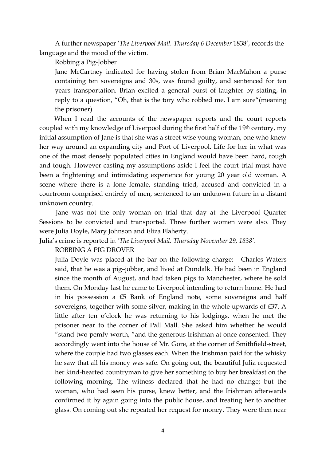A further newspaper '*The Liverpool Mail. Thursday 6 December* 1838', records the language and the mood of the victim.

Robbing a Pig-Jobber

Jane McCartney indicated for having stolen from Brian MacMahon a purse containing ten sovereigns and 30s, was found guilty, and sentenced for ten years transportation. Brian excited a general burst of laughter by stating, in reply to a question, "Oh, that is the tory who robbed me, I am sure"(meaning the prisoner)

 When I read the accounts of the newspaper reports and the court reports coupled with my knowledge of Liverpool during the first half of the 19th century, my initial assumption of Jane is that she was a street wise young woman, one who knew her way around an expanding city and Port of Liverpool. Life for her in what was one of the most densely populated cities in England would have been hard, rough and tough. However casting my assumptions aside I feel the court trial must have been a frightening and intimidating experience for young 20 year old woman. A scene where there is a lone female, standing tried, accused and convicted in a courtroom comprised entirely of men, sentenced to an unknown future in a distant unknown country.

 Jane was not the only woman on trial that day at the Liverpool Quarter Sessions to be convicted and transported. Three further women were also. They were Julia Doyle, Mary Johnson and Eliza Flaherty.

Julia's crime is reported in *'The Liverpool Mail. Thursday November 29, 1838'*.

ROBBING A PIG DROVER

Julia Doyle was placed at the bar on the following charge: - Charles Waters said, that he was a pig–jobber, and lived at Dundalk. He had been in England since the month of August, and had taken pigs to Manchester, where he sold them. On Monday last he came to Liverpool intending to return home. He had in his possession a £5 Bank of England note, some sovereigns and half sovereigns, together with some silver, making in the whole upwards of £37. A little after ten o'clock he was returning to his lodgings, when he met the prisoner near to the corner of Pall Mall. She asked him whether he would "stand two pemfy-worth, "and the generous Irishman at once consented. They accordingly went into the house of Mr. Gore, at the corner of Smithfield-street, where the couple had two glasses each. When the Irishman paid for the whisky he saw that all his money was safe. On going out, the beautiful Julia requested her kind-hearted countryman to give her something to buy her breakfast on the following morning. The witness declared that he had no change; but the woman, who had seen his purse, knew better, and the Irishman afterwards confirmed it by again going into the public house, and treating her to another glass. On coming out she repeated her request for money. They were then near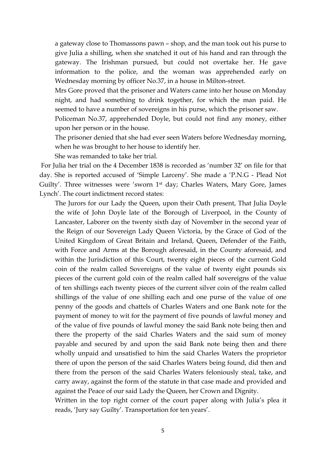a gateway close to Thomassons pawn – shop, and the man took out his purse to give Julia a shilling, when she snatched it out of his hand and ran through the gateway. The Irishman pursued, but could not overtake her. He gave information to the police, and the woman was apprehended early on Wednesday morning by officer No.37, in a house in Milton-street.

Mrs Gore proved that the prisoner and Waters came into her house on Monday night, and had something to drink together, for which the man paid. He seemed to have a number of sovereigns in his purse, which the prisoner saw.

Policeman No.37, apprehended Doyle, but could not find any money, either upon her person or in the house.

The prisoner denied that she had ever seen Waters before Wednesday morning, when he was brought to her house to identify her.

She was remanded to take her trial.

 For Julia her trial on the 4 December 1838 is recorded as 'number 32' on file for that day. She is reported accused of 'Simple Larceny'. She made a 'P.N.G - Plead Not Guilty'. Three witnesses were 'sworn 1st day; Charles Waters, Mary Gore, James Lynch'. The court indictment record states:

The Jurors for our Lady the Queen, upon their Oath present, That Julia Doyle the wife of John Doyle late of the Borough of Liverpool, in the County of Lancaster, Laborer on the twenty sixth day of November in the second year of the Reign of our Sovereign Lady Queen Victoria, by the Grace of God of the United Kingdom of Great Britain and Ireland, Queen, Defender of the Faith, with Force and Arms at the Borough aforesaid, in the County aforesaid, and within the Jurisdiction of this Court, twenty eight pieces of the current Gold coin of the realm called Sovereigns of the value of twenty eight pounds six pieces of the current gold coin of the realm called half sovereigns of the value of ten shillings each twenty pieces of the current silver coin of the realm called shillings of the value of one shilling each and one purse of the value of one penny of the goods and chattels of Charles Waters and one Bank note for the payment of money to wit for the payment of five pounds of lawful money and of the value of five pounds of lawful money the said Bank note being then and there the property of the said Charles Waters and the said sum of money payable and secured by and upon the said Bank note being then and there wholly unpaid and unsatisfied to him the said Charles Waters the proprietor there of upon the person of the said Charles Waters being found, did then and there from the person of the said Charles Waters feloniously steal, take, and carry away, against the form of the statute in that case made and provided and against the Peace of our said Lady the Queen, her Crown and Dignity.

Written in the top right corner of the court paper along with Julia's plea it reads, 'Jury say Guilty'. Transportation for ten years'.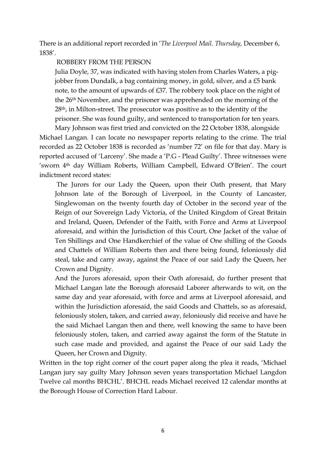There is an additional report recorded in '*The Liverpool Mail. Thursday,* December 6, 1838'.

## ROBBERY FROM THE PERSON

Julia Doyle, 37, was indicated with having stolen from Charles Waters, a pigjobber from Dundalk, a bag containing money, in gold, silver, and a £5 bank note, to the amount of upwards of £37. The robbery took place on the night of the 26th November, and the prisoner was apprehended on the morning of the 28th, in Milton-street. The prosecutor was positive as to the identity of the prisoner. She was found guilty, and sentenced to transportation for ten years.

Mary Johnson was first tried and convicted on the 22 October 1838, alongside Michael Langan. I can locate no newspaper reports relating to the crime. The trial recorded as 22 October 1838 is recorded as 'number 72' on file for that day. Mary is reported accused of 'Larceny'. She made a 'P.G - Plead Guilty'. Three witnesses were 'sworn 4th day William Roberts, William Campbell, Edward O'Brien'. The court indictment record states:

 The Jurors for our Lady the Queen, upon their Oath present, that Mary Johnson late of the Borough of Liverpool, in the County of Lancaster, Singlewoman on the twenty fourth day of October in the second year of the Reign of our Sovereign Lady Victoria, of the United Kingdom of Great Britain and Ireland, Queen, Defender of the Faith, with Force and Arms at Liverpool aforesaid, and within the Jurisdiction of this Court, One Jacket of the value of Ten Shillings and One Handkerchief of the value of One shilling of the Goods and Chattels of William Roberts then and there being found, feloniously did steal, take and carry away, against the Peace of our said Lady the Queen, her Crown and Dignity.

And the Jurors aforesaid, upon their Oath aforesaid, do further present that Michael Langan late the Borough aforesaid Laborer afterwards to wit, on the same day and year aforesaid, with force and arms at Liverpool aforesaid, and within the Jurisdiction aforesaid, the said Goods and Chattels, so as aforesaid, feloniously stolen, taken, and carried away, feloniously did receive and have he the said Michael Langan then and there, well knowing the same to have been feloniously stolen, taken, and carried away against the form of the Statute in such case made and provided, and against the Peace of our said Lady the Queen, her Crown and Dignity.

Written in the top right corner of the court paper along the plea it reads, 'Michael Langan jury say guilty Mary Johnson seven years transportation Michael Langdon Twelve cal months BHCHL'. BHCHL reads Michael received 12 calendar months at the Borough House of Correction Hard Labour.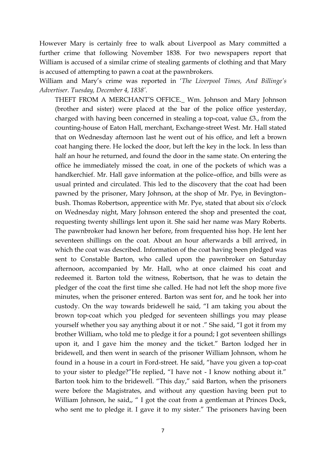However Mary is certainly free to walk about Liverpool as Mary committed a further crime that following November 1838. For two newspapers report that William is accused of a similar crime of stealing garments of clothing and that Mary is accused of attempting to pawn a coat at the pawnbrokers.

William and Mary's crime was reported in '*The Liverpool Times, And Billinge's Advertiser. Tuesday, December 4, 1838'.* 

THEFT FROM A MERCHANT'S OFFICE.\_ Wm. Johnson and Mary Johnson (brother and sister) were placed at the bar of the police office yesterday, charged with having been concerned in stealing a top-coat, value £3., from the counting-house of Eaton Hall, merchant, Exchange-street West. Mr. Hall stated that on Wednesday afternoon last he went out of his office, and left a brown coat hanging there. He locked the door, but left the key in the lock. In less than half an hour he returned, and found the door in the same state. On entering the office he immediately missed the coat, in one of the pockets of which was a handkerchief. Mr. Hall gave information at the police–office, and bills were as usual printed and circulated. This led to the discovery that the coat had been pawned by the prisoner, Mary Johnson, at the shop of Mr. Pye, in Bevington– bush. Thomas Robertson, apprentice with Mr. Pye, stated that about six o'clock on Wednesday night, Mary Johnson entered the shop and presented the coat, requesting twenty shillings lent upon it. She said her name was Mary Roberts. The pawnbroker had known her before, from frequented hiss hop. He lent her seventeen shillings on the coat. About an hour afterwards a bill arrived, in which the coat was described. Information of the coat having been pledged was sent to Constable Barton, who called upon the pawnbroker on Saturday afternoon, accompanied by Mr. Hall, who at once claimed his coat and redeemed it. Barton told the witness, Robertson, that he was to detain the pledger of the coat the first time she called. He had not left the shop more five minutes, when the prisoner entered. Barton was sent for, and he took her into custody. On the way towards bridewell he said, "I am taking you about the brown top-coat which you pledged for seventeen shillings you may please yourself whether you say anything about it or not ." She said, "I got it from my brother William, who told me to pledge it for a pound; I got seventeen shillings upon it, and I gave him the money and the ticket." Barton lodged her in bridewell, and then went in search of the prisoner William Johnson, whom he found in a house in a court in Ford-street. He said, "have you given a top-coat to your sister to pledge?"He replied, "I have not - I know nothing about it." Barton took him to the bridewell. "This day," said Barton, when the prisoners were before the Magistrates, and without any question having been put to William Johnson, he said,, " I got the coat from a gentleman at Princes Dock, who sent me to pledge it. I gave it to my sister." The prisoners having been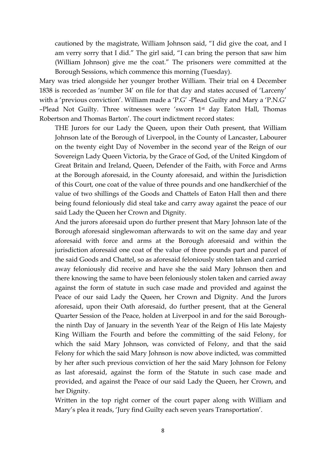cautioned by the magistrate, William Johnson said, "I did give the coat, and I am verry sorry that I did." The girl said, "I can bring the person that saw him (William Johnson) give me the coat." The prisoners were committed at the Borough Sessions, which commence this morning (Tuesday).

Mary was tried alongside her younger brother William. Their trial on 4 December 1838 is recorded as 'number 34' on file for that day and states accused of 'Larceny' with a 'previous conviction'. William made a 'P.G' -Plead Guilty and Mary a 'P.N.G' –Plead Not Guilty. Three witnesses were 'sworn 1st day Eaton Hall, Thomas Robertson and Thomas Barton'. The court indictment record states:

THE Jurors for our Lady the Queen, upon their Oath present, that William Johnson late of the Borough of Liverpool, in the County of Lancaster, Labourer on the twenty eight Day of November in the second year of the Reign of our Sovereign Lady Queen Victoria, by the Grace of God, of the United Kingdom of Great Britain and Ireland, Queen, Defender of the Faith, with Force and Arms at the Borough aforesaid, in the County aforesaid, and within the Jurisdiction of this Court, one coat of the value of three pounds and one handkerchief of the value of two shillings of the Goods and Chattels of Eaton Hall then and there being found feloniously did steal take and carry away against the peace of our said Lady the Queen her Crown and Dignity.

And the jurors aforesaid upon do further present that Mary Johnson late of the Borough aforesaid singlewoman afterwards to wit on the same day and year aforesaid with force and arms at the Borough aforesaid and within the jurisdiction aforesaid one coat of the value of three pounds part and parcel of the said Goods and Chattel, so as aforesaid feloniously stolen taken and carried away feloniously did receive and have she the said Mary Johnson then and there knowing the same to have been feloniously stolen taken and carried away against the form of statute in such case made and provided and against the Peace of our said Lady the Queen, her Crown and Dignity. And the Jurors aforesaid, upon their Oath aforesaid, do further present, that at the General Quarter Session of the Peace, holden at Liverpool in and for the said Boroughthe ninth Day of January in the seventh Year of the Reign of His late Majesty King William the Fourth and before the committing of the said Felony, for which the said Mary Johnson, was convicted of Felony, and that the said Felony for which the said Mary Johnson is now above indicted, was committed by her after such previous conviction of her the said Mary Johnson for Felony as last aforesaid, against the form of the Statute in such case made and provided, and against the Peace of our said Lady the Queen, her Crown, and her Dignity.

Written in the top right corner of the court paper along with William and Mary's plea it reads, 'Jury find Guilty each seven years Transportation'.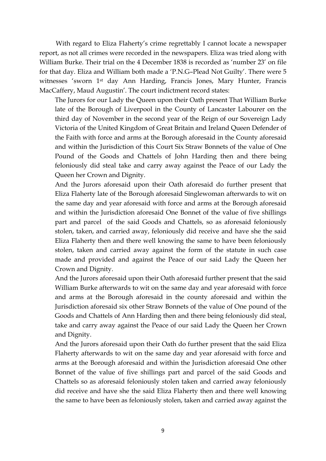With regard to Eliza Flaherty's crime regrettably I cannot locate a newspaper report, as not all crimes were recorded in the newspapers. Eliza was tried along with William Burke. Their trial on the 4 December 1838 is recorded as 'number 23' on file for that day. Eliza and William both made a 'P.N.G–Plead Not Guilty'. There were 5 witnesses 'sworn 1st day Ann Harding, Francis Jones, Mary Hunter, Francis MacCaffery, Maud Augustin'. The court indictment record states:

The Jurors for our Lady the Queen upon their Oath present That William Burke late of the Borough of Liverpool in the County of Lancaster Labourer on the third day of November in the second year of the Reign of our Sovereign Lady Victoria of the United Kingdom of Great Britain and Ireland Queen Defender of the Faith with force and arms at the Borough aforesaid in the County aforesaid and within the Jurisdiction of this Court Six Straw Bonnets of the value of One Pound of the Goods and Chattels of John Harding then and there being feloniously did steal take and carry away against the Peace of our Lady the Queen her Crown and Dignity.

And the Jurors aforesaid upon their Oath aforesaid do further present that Eliza Flaherty late of the Borough aforesaid Singlewoman afterwards to wit on the same day and year aforesaid with force and arms at the Borough aforesaid and within the Jurisdiction aforesaid One Bonnet of the value of five shillings part and parcel of the said Goods and Chattels, so as aforesaid feloniously stolen, taken, and carried away, feloniously did receive and have she the said Eliza Flaherty then and there well knowing the same to have been feloniously stolen, taken and carried away against the form of the statute in such case made and provided and against the Peace of our said Lady the Queen her Crown and Dignity.

And the Jurors aforesaid upon their Oath aforesaid further present that the said William Burke afterwards to wit on the same day and year aforesaid with force and arms at the Borough aforesaid in the county aforesaid and within the Jurisdiction aforesaid six other Straw Bonnets of the value of One pound of the Goods and Chattels of Ann Harding then and there being feloniously did steal, take and carry away against the Peace of our said Lady the Queen her Crown and Dignity.

And the Jurors aforesaid upon their Oath do further present that the said Eliza Flaherty afterwards to wit on the same day and year aforesaid with force and arms at the Borough aforesaid and within the Jurisdiction aforesaid One other Bonnet of the value of five shillings part and parcel of the said Goods and Chattels so as aforesaid feloniously stolen taken and carried away feloniously did receive and have she the said Eliza Flaherty then and there well knowing the same to have been as feloniously stolen, taken and carried away against the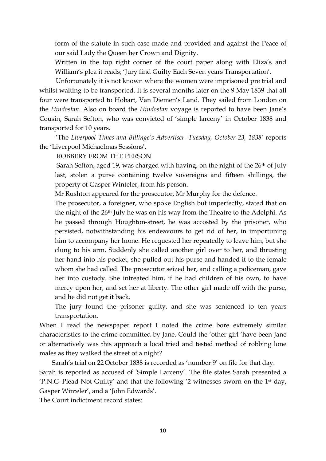form of the statute in such case made and provided and against the Peace of our said Lady the Queen her Crown and Dignity.

Written in the top right corner of the court paper along with Eliza's and William's plea it reads; 'Jury find Guilty Each Seven years Transportation'.

 Unfortunately it is not known where the women were imprisoned pre trial and whilst waiting to be transported. It is several months later on the 9 May 1839 that all four were transported to Hobart, Van Diemen's Land. They sailed from London on the *Hindostan.* Also on board the *Hindostan* voyage is reported to have been Jane's Cousin, Sarah Sefton, who was convicted of 'simple larceny' in October 1838 and transported for 10 years.

 'The *Liverpool Times and Billinge's Advertiser. Tuesday, October 23, 1838'* reports the 'Liverpool Michaelmas Sessions'.

ROBBERY FROM THE PERSON

Sarah Sefton, aged 19, was charged with having, on the night of the  $26<sup>th</sup>$  of July last, stolen a purse containing twelve sovereigns and fifteen shillings, the property of Gasper Winteler, from his person.

Mr Rushton appeared for the prosecutor, Mr Murphy for the defence.

The prosecutor, a foreigner, who spoke English but imperfectly, stated that on the night of the 26th July he was on his way from the Theatre to the Adelphi. As he passed through Houghton-street, he was accosted by the prisoner, who persisted, notwithstanding his endeavours to get rid of her, in importuning him to accompany her home. He requested her repeatedly to leave him, but she clung to his arm. Suddenly she called another girl over to her, and thrusting her hand into his pocket, she pulled out his purse and handed it to the female whom she had called. The prosecutor seized her, and calling a policeman, gave her into custody. She intreated him, if he had children of his own, to have mercy upon her, and set her at liberty. The other girl made off with the purse, and he did not get it back.

The jury found the prisoner guilty, and she was sentenced to ten years transportation.

When I read the newspaper report I noted the crime bore extremely similar characteristics to the crime committed by Jane. Could the 'other girl 'have been Jane or alternatively was this approach a local tried and tested method of robbing lone males as they walked the street of a night?

Sarah's trial on 22 October 1838 is recorded as 'number 9' on file for that day.

Sarah is reported as accused of 'Simple Larceny'. The file states Sarah presented a 'P.N.G–Plead Not Guilty' and that the following '2 witnesses sworn on the 1st day, Gasper Winteler', and a 'John Edwards'.

The Court indictment record states: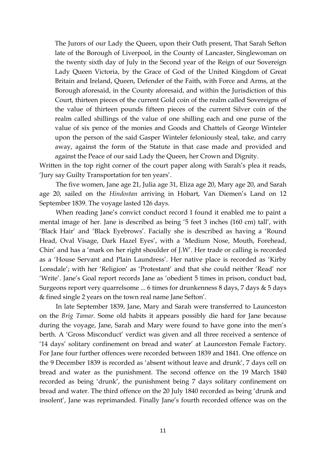The Jurors of our Lady the Queen, upon their Oath present, That Sarah Sefton late of the Borough of Liverpool, in the County of Lancaster, Singlewoman on the twenty sixth day of July in the Second year of the Reign of our Sovereign Lady Queen Victoria, by the Grace of God of the United Kingdom of Great Britain and Ireland, Queen, Defender of the Faith, with Force and Arms, at the Borough aforesaid, in the County aforesaid, and within the Jurisdiction of this Court, thirteen pieces of the current Gold coin of the realm called Sovereigns of the value of thirteen pounds fifteen pieces of the current Silver coin of the realm called shillings of the value of one shilling each and one purse of the value of six pence of the monies and Goods and Chattels of George Winteler upon the person of the said Gasper Winteler feloniously steal, take, and carry away, against the form of the Statute in that case made and provided and against the Peace of our said Lady the Queen, her Crown and Dignity.

Written in the top right corner of the court paper along with Sarah's plea it reads, 'Jury say Guilty Transportation for ten years'.

 The five women, Jane age 21, Julia age 31, Eliza age 20, Mary age 20, and Sarah age 20, sailed on the *Hindostan* arriving in Hobart, Van Diemen's Land on 12 September 1839. The voyage lasted 126 days.

 When reading Jane's convict conduct record I found it enabled me to paint a mental image of her. Jane is described as being '5 feet 3 inches (160 cm) tall', with 'Black Hair' and 'Black Eyebrows'. Facially she is described as having a 'Round Head, Oval Visage, Dark Hazel Eyes', with a 'Medium Nose, Mouth, Forehead, Chin' and has a 'mark on her right shoulder of J.W'. Her trade or calling is recorded as a 'House Servant and Plain Laundress'. Her native place is recorded as 'Kirby Lonsdale'; with her 'Religion' as 'Protestant' and that she could neither 'Read' nor 'Write'. Jane's Goal report records Jane as 'obedient 5 times in prison, conduct bad, Surgeons report very quarrelsome ... 6 times for drunkenness 8 days, 7 days & 5 days & fined single 2 years on the town real name Jane Sefton'.

In late September 1839, Jane, Mary and Sarah were transferred to Launceston on the *Brig Tamar.* Some old habits it appears possibly die hard for Jane because during the voyage, Jane, Sarah and Mary were found to have gone into the men's berth. A 'Gross Misconduct' verdict was given and all three received a sentence of '14 days' solitary confinement on bread and water' at Launceston Female Factory. For Jane four further offences were recorded between 1839 and 1841. One offence on the 9 December 1839 is recorded as 'absent without leave and drunk', 7 days cell on bread and water as the punishment. The second offence on the 19 March 1840 recorded as being 'drunk', the punishment being 7 days solitary confinement on bread and water. The third offence on the 20 July 1840 recorded as being 'drunk and insolent', Jane was reprimanded. Finally Jane's fourth recorded offence was on the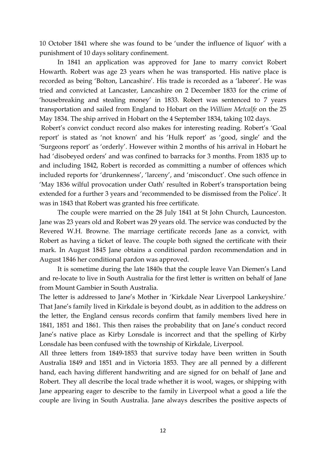10 October 1841 where she was found to be 'under the influence of liquor' with a punishment of 10 days solitary confinement.

 In 1841 an application was approved for Jane to marry convict Robert Howarth. Robert was age 23 years when he was transported. His native place is recorded as being 'Bolton, Lancashire'. His trade is recorded as a 'laborer'. He was tried and convicted at Lancaster, Lancashire on 2 December 1833 for the crime of 'housebreaking and stealing money' in 1833. Robert was sentenced to 7 years transportation and sailed from England to Hobart on the *William Metcalfe* on the 25 May 1834. The ship arrived in Hobart on the 4 September 1834, taking 102 days.

 Robert's convict conduct record also makes for interesting reading. Robert's 'Goal report' is stated as 'not known' and his 'Hulk report' as 'good, single' and the 'Surgeons report' as 'orderly'. However within 2 months of his arrival in Hobart he had 'disobeyed orders' and was confined to barracks for 3 months. From 1835 up to and including 1842, Robert is recorded as committing a number of offences which included reports for 'drunkenness', 'larceny', and 'misconduct'. One such offence in 'May 1836 wilful provocation under Oath' resulted in Robert's transportation being extended for a further 3 years and 'recommended to be dismissed from the Police'. It was in 1843 that Robert was granted his free certificate.

 The couple were married on the 28 July 1841 at St John Church, Launceston. Jane was 23 years old and Robert was 29 years old. The service was conducted by the Revered W.H. Browne. The marriage certificate records Jane as a convict, with Robert as having a ticket of leave. The couple both signed the certificate with their mark. In August 1845 Jane obtains a conditional pardon recommendation and in August 1846 her conditional pardon was approved.

 It is sometime during the late 1840s that the couple leave Van Diemen's Land and re-locate to live in South Australia for the first letter is written on behalf of Jane from Mount Gambier in South Australia.

The letter is addressed to Jane's Mother in 'Kirkdale Near Liverpool Lankeyshire.' That Jane's family lived in Kirkdale is beyond doubt, as in addition to the address on the letter, the England census records confirm that family members lived here in 1841, 1851 and 1861. This then raises the probability that on Jane's conduct record Jane's native place as Kirby Lonsdale is incorrect and that the spelling of Kirby Lonsdale has been confused with the township of Kirkdale, Liverpool.

All three letters from 1849-1853 that survive today have been written in South Australia 1849 and 1851 and in Victoria 1853. They are all penned by a different hand, each having different handwriting and are signed for on behalf of Jane and Robert. They all describe the local trade whether it is wool, wages, or shipping with Jane appearing eager to describe to the family in Liverpool what a good a life the couple are living in South Australia. Jane always describes the positive aspects of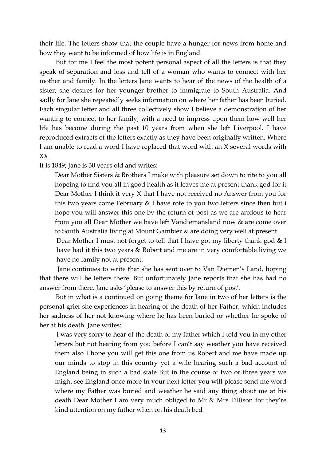their life. The letters show that the couple have a hunger for news from home and how they want to be informed of how life is in England.

 But for me I feel the most potent personal aspect of all the letters is that they speak of separation and loss and tell of a woman who wants to connect with her mother and family. In the letters Jane wants to hear of the news of the health of a sister, she desires for her younger brother to immigrate to South Australia. And sadly for Jane she repeatedly seeks information on where her father has been buried. Each singular letter and all three collectively show I believe a demonstration of her wanting to connect to her family, with a need to impress upon them how well her life has become during the past 10 years from when she left Liverpool. I have reproduced extracts of the letters exactly as they have been originally written. Where I am unable to read a word I have replaced that word with an X several words with XX.

It is 1849; Jane is 30 years old and writes:

Dear Mother Sisters & Brothers I make with pleasure set down to rite to you all hopeing to find you all in good health as it leaves me at present thank god for it Dear Mother I think it very X that I have not received no Answer from you for this two years come February & I have rote to you two letters since then but i hope you will answer this one by the return of post as we are anxious to hear from you all Dear Mother we have left Vandiemansland now & are come over to South Australia living at Mount Gambier & are doing very well at present Dear Mother I must not forget to tell that I have got my liberty thank god & I have had it this two years & Robert and me are in very comfortable living we

have no family not at present.

 Jane continues to write that she has sent over to Van Diemen's Land, hoping that there will be letters there. But unfortunately Jane reports that she has had no answer from there. Jane asks 'please to answer this by return of post'.

 But in what is a continued on going theme for Jane in two of her letters is the personal grief she experiences in hearing of the death of her Father, which includes her sadness of her not knowing where he has been buried or whether he spoke of her at his death. Jane writes:

 I was very sorry to hear of the death of my father which I told you in my other letters but not hearing from you before I can't say weather you have received them also I hope you will get this one from us Robert and me have made up our minds to stop in this country yet a wile hearing such a bad account of England being in such a bad state But in the course of two or three years we might see England once more In your next letter you will please send me word where my Father was buried and weather he said any thing about me at his death Dear Mother I am very much obliged to Mr & Mrs Tillison for they're kind attention on my father when on his death bed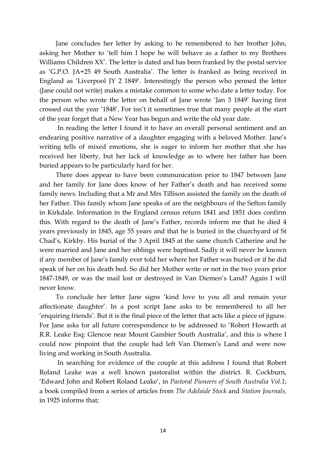Jane concludes her letter by asking to be remembered to her brother John, asking her Mother to 'tell him I hope he will behave as a father to my Brothers Williams Children XX'. The letter is dated and has been franked by the postal service as 'G.P.O. JA+25 49 South Australia'. The letter is franked as being received in England as 'Liverpool JY 2 1849'. Interestingly the person who penned the letter (Jane could not write) makes a mistake common to some who date a letter today. For the person who wrote the letter on behalf of Jane wrote 'Jan 3 1849' having first crossed out the year '1848'. For isn't it sometimes true that many people at the start of the year forget that a New Year has begun and write the old year date.

 In reading the letter I found it to have an overall personal sentiment and an endearing positive narrative of a daughter engaging with a beloved Mother. Jane's writing tells of mixed emotions, she is eager to inform her mother that she has received her liberty, but her lack of knowledge as to where her father has been buried appears to be particularly hard for her.

 There does appear to have been communication prior to 1847 between Jane and her family for Jane does know of her Father's death and has received some family news. Including that a Mr and Mrs Tillison assisted the family on the death of her Father. This family whom Jane speaks of are the neighbours of the Sefton family in Kirkdale. Information in the England census return 1841 and 1851 does confirm this. With regard to the death of Jane's Father, records inform me that he died 4 years previously in 1845, age 55 years and that he is buried in the churchyard of St Chad's, Kirkby. His burial of the 3 April 1845 at the same church Catherine and he were married and Jane and her siblings were baptised. Sadly it will never be known if any member of Jane's family ever told her where her Father was buried or if he did speak of her on his death bed. So did her Mother write or not in the two years prior 1847-1849, or was the mail lost or destroyed in Van Diemen's Land? Again I will never know.

 To conclude her letter Jane signs 'kind love to you all and remain your affectionate daughter'. In a post script Jane asks to be remembered to all her 'enquiring friends'. But it is the final piece of the letter that acts like a piece of jigsaw. For Jane asks for all future correspondence to be addressed to 'Robert Howarth at R.R. Leake Esq: Glencoe near Mount Gambier South Australia', and this is where I could now pinpoint that the couple had left Van Diemen's Land and were now living and working in South Australia.

 In searching for evidence of the couple at this address I found that Robert Roland Leake was a well known pastoralist within the district. R. Cockburn, 'Edward John and Robert Roland Leake', in *Pastoral Pioneers of South Australia Vol.1*; a book compiled from a series of articles from *The Adelaide Stock* and *Station Journals,* in 1925 informs that;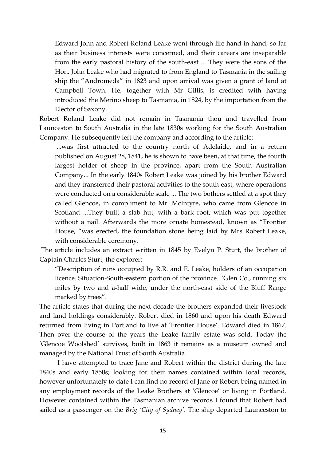Edward John and Robert Roland Leake went through life hand in hand, so far as their business interests were concerned, and their careers are inseparable from the early pastoral history of the south-east ... They were the sons of the Hon. John Leake who had migrated to from England to Tasmania in the sailing ship the "Andromeda" in 1823 and upon arrival was given a grant of land at Campbell Town. He, together with Mr Gillis, is credited with having introduced the Merino sheep to Tasmania, in 1824, by the importation from the Elector of Saxony.

Robert Roland Leake did not remain in Tasmania thou and travelled from Launceston to South Australia in the late 1830s working for the South Australian Company. He subsequently left the company and according to the article:

 ...was first attracted to the country north of Adelaide, and in a return published on August 28, 1841, he is shown to have been, at that time, the fourth largest holder of sheep in the province, apart from the South Australian Company... In the early 1840s Robert Leake was joined by his brother Edward and they transferred their pastoral activities to the south-east, where operations were conducted on a considerable scale ... The two bothers settled at a spot they called Glencoe, in compliment to Mr. McIntyre, who came from Glencoe in Scotland ...They built a slab hut, with a bark roof, which was put together without a nail. Afterwards the more ornate homestead, known as "Frontier House, "was erected, the foundation stone being laid by Mrs Robert Leake, with considerable ceremony.

 The article includes an extract written in 1845 by Evelyn P. Sturt, the brother of Captain Charles Sturt, the explorer:

"Description of runs occupied by R.R. and E. Leake, holders of an occupation licence. Situation-South-eastern portion of the province...'Glen Co., running six miles by two and a-half wide, under the north-east side of the Bluff Range marked by trees".

The article states that during the next decade the brothers expanded their livestock and land holdings considerably. Robert died in 1860 and upon his death Edward returned from living in Portland to live at 'Frontier House'. Edward died in 1867. Then over the course of the years the Leake family estate was sold. Today the 'Glencoe Woolshed' survives, built in 1863 it remains as a museum owned and managed by the National Trust of South Australia.

 I have attempted to trace Jane and Robert within the district during the late 1840s and early 1850s; looking for their names contained within local records, however unfortunately to date I can find no record of Jane or Robert being named in any employment records of the Leake Brothers at 'Glencoe' or living in Portland. However contained within the Tasmanian archive records I found that Robert had sailed as a passenger on the *Brig 'City of Sydney'.* The ship departed Launceston to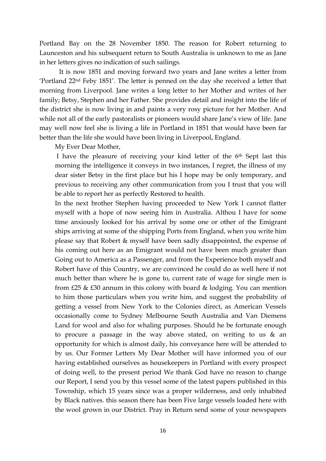Portland Bay on the 28 November 1850. The reason for Robert returning to Launceston and his subsequent return to South Australia is unknown to me as Jane in her letters gives no indication of such sailings.

 It is now 1851 and moving forward two years and Jane writes a letter from 'Portland 22nd Feby 1851'. The letter is penned on the day she received a letter that morning from Liverpool. Jane writes a long letter to her Mother and writes of her family; Betsy, Stephen and her Father. She provides detail and insight into the life of the district she is now living in and paints a very rosy picture for her Mother. And while not all of the early pastoralists or pioneers would share Jane's view of life. Jane may well now feel she is living a life in Portland in 1851 that would have been far better than the life she would have been living in Liverpool, England.

My Ever Dear Mother,

 I have the pleasure of receiving your kind letter of the 6th Sept last this morning the intelligence it conveys in two instances, I regret, the illness of my dear sister Betsy in the first place but his I hope may be only temporary, and previous to receiving any other communication from you I trust that you will be able to report her as perfectly Restored to health.

In the next brother Stephen having proceeded to New York I cannot flatter myself with a hope of now seeing him in Australia. Althou I have for some time anxiously looked for his arrival by some one or other of the Emigrant ships arriving at some of the shipping Ports from England, when you write him please say that Robert & myself have been sadly disappointed, the expense of his coming out here as an Emigrant would not have been much greater than Going out to America as a Passenger, and from the Experience both myself and Robert have of this Country, we are convinced he could do as well here if not much better than where he is gone to, current rate of wage for single men is from £25 & £30 annum in this colony with board & lodging. You can mention to him those particulars when you write him, and suggest the probability of getting a vessel from New York to the Colonies direct, as American Vessels occasionally come to Sydney Melbourne South Australia and Van Diemens Land for wool and also for whaling purposes. Should he be fortunate enough to procure a passage in the way above stated, on writing to us & an opportunity for which is almost daily, his conveyance here will be attended to by us. Our Former Letters My Dear Mother will have informed you of our having established ourselves as housekeepers in Portland with every prospect of doing well, to the present period We thank God have no reason to change our Report, I send you by this vessel some of the latest papers published in this Township, which 15 years since was a proper wilderness, and only inhabited by Black natives. this season there has been Five large vessels loaded here with the wool grown in our District. Pray in Return send some of your newspapers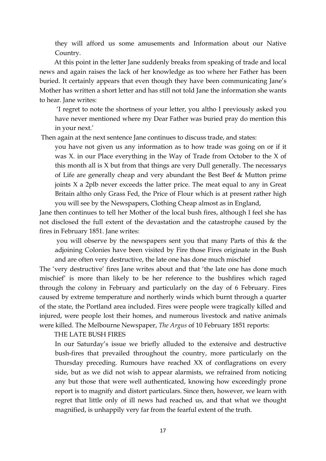they will afford us some amusements and Information about our Native Country.

 At this point in the letter Jane suddenly breaks from speaking of trade and local news and again raises the lack of her knowledge as too where her Father has been buried. It certainly appears that even though they have been communicating Jane's Mother has written a short letter and has still not told Jane the information she wants to hear. Jane writes:

 'I regret to note the shortness of your letter, you altho I previously asked you have never mentioned where my Dear Father was buried pray do mention this in your next.'

Then again at the next sentence Jane continues to discuss trade, and states:

you have not given us any information as to how trade was going on or if it was X. in our Place everything in the Way of Trade from October to the X of this month all is X but from that things are very Dull generally. The necessarys of Life are generally cheap and very abundant the Best Beef & Mutton prime joints X a 2plb never exceeds the latter price. The meat equal to any in Great Britain altho only Grass Fed, the Price of Flour which is at present rather high you will see by the Newspapers, Clothing Cheap almost as in England,

Jane then continues to tell her Mother of the local bush fires, although I feel she has not disclosed the full extent of the devastation and the catastrophe caused by the fires in February 1851. Jane writes:

 you will observe by the newspapers sent you that many Parts of this & the adjoining Colonies have been visited by Fire those Fires originate in the Bush and are often very destructive, the late one has done much mischief

The 'very destructive' fires Jane writes about and that 'the late one has done much mischief' is more than likely to be her reference to the bushfires which raged through the colony in February and particularly on the day of 6 February. Fires caused by extreme temperature and northerly winds which burnt through a quarter of the state, the Portland area included. Fires were people were tragically killed and injured, were people lost their homes, and numerous livestock and native animals were killed. The Melbourne Newspaper, *The Argus* of 10 February 1851 reports:

THE LATE BUSH FIRES

In our Saturday's issue we briefly alluded to the extensive and destructive bush-fires that prevailed throughout the country, more particularly on the Thursday preceding. Rumours have reached XX of conflagrations on every side, but as we did not wish to appear alarmists, we refrained from noticing any but those that were well authenticated, knowing how exceedingly prone report is to magnify and distort particulars. Since then, however, we learn with regret that little only of ill news had reached us, and that what we thought magnified, is unhappily very far from the fearful extent of the truth.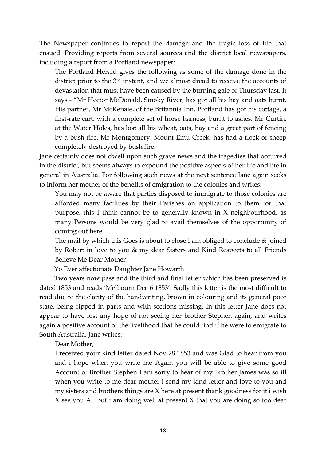The Newspaper continues to report the damage and the tragic loss of life that ensued. Providing reports from several sources and the district local newspapers, including a report from a Portland newspaper:

The Portland Herald gives the following as some of the damage done in the district prior to the 3<sup>rd</sup> instant, and we almost dread to receive the accounts of devastation that must have been caused by the burning gale of Thursday last. It says - "Mr Hector McDonald, Smoky River, has got all his hay and oats burnt. His partner, Mr McKenaie, of the Britannia Inn, Portland has got his cottage, a first-rate cart, with a complete set of horse harness, burnt to ashes. Mr Curtin, at the Water Holes, has lost all his wheat, oats, hay and a great part of fencing by a bush fire. Mr Montgomery, Mount Emu Creek, has had a flock of sheep completely destroyed by bush fire.

Jane certainly does not dwell upon such grave news and the tragedies that occurred in the district, but seems always to expound the positive aspects of her life and life in general in Australia. For following such news at the next sentence Jane again seeks to inform her mother of the benefits of emigration to the colonies and writes:

You may not be aware that parties disposed to immigrate to those colonies are afforded many facilities by their Parishes on application to them for that purpose, this I think cannot be to generally known in X neighbourhood, as many Persons would be very glad to avail themselves of the opportunity of coming out here

The mail by which this Goes is about to close I am obliged to conclude & joined by Robert in love to you & my dear Sisters and Kind Respects to all Friends Believe Me Dear Mother

Yo Ever affectionate Daughter Jane Howarth

 Two years now pass and the third and final letter which has been preserved is dated 1853 and reads 'Melbourn Dec 6 1853'. Sadly this letter is the most difficult to read due to the clarity of the handwriting, brown in colouring and its general poor state, being ripped in parts and with sections missing. In this letter Jane does not appear to have lost any hope of not seeing her brother Stephen again, and writes again a positive account of the livelihood that he could find if he were to emigrate to South Australia. Jane writes:

Dear Mother,

I received your kind letter dated Nov 28 1853 and was Glad to hear from you and i hope when you write me Again you will be able to give some good Account of Brother Stephen I am sorry to hear of my Brother James was so ill when you write to me dear mother i send my kind letter and love to you and my sisters and brothers things are X here at present thank goodness for it i wish X see you All but i am doing well at present X that you are doing so too dear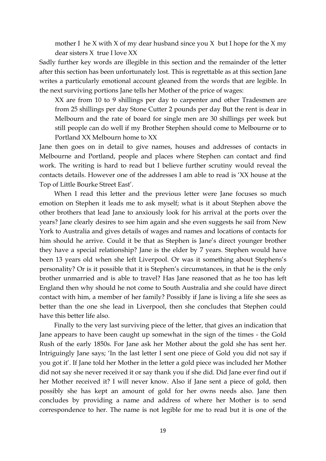mother I he X with X of my dear husband since you X but I hope for the X my dear sisters X true I love XX

Sadly further key words are illegible in this section and the remainder of the letter after this section has been unfortunately lost. This is regrettable as at this section Jane writes a particularly emotional account gleaned from the words that are legible. In the next surviving portions Jane tells her Mother of the price of wages:

XX are from 10 to 9 shillings per day to carpenter and other Tradesmen are from 25 shillings per day Stone Cutter 2 pounds per day But the rent is dear in Melbourn and the rate of board for single men are 30 shillings per week but still people can do well if my Brother Stephen should come to Melbourne or to Portland XX Melbourn home to XX

Jane then goes on in detail to give names, houses and addresses of contacts in Melbourne and Portland, people and places where Stephen can contact and find work. The writing is hard to read but I believe further scrutiny would reveal the contacts details. However one of the addresses I am able to read is 'XX house at the Top of Little Bourke Street East'.

 When I read this letter and the previous letter were Jane focuses so much emotion on Stephen it leads me to ask myself; what is it about Stephen above the other brothers that lead Jane to anxiously look for his arrival at the ports over the years? Jane clearly desires to see him again and she even suggests he sail from New York to Australia and gives details of wages and names and locations of contacts for him should he arrive. Could it be that as Stephen is Jane's direct younger brother they have a special relationship? Jane is the elder by 7 years. Stephen would have been 13 years old when she left Liverpool. Or was it something about Stephens's personality? Or is it possible that it is Stephen's circumstances, in that he is the only brother unmarried and is able to travel? Has Jane reasoned that as he too has left England then why should he not come to South Australia and she could have direct contact with him, a member of her family? Possibly if Jane is living a life she sees as better than the one she lead in Liverpool, then she concludes that Stephen could have this better life also.

 Finally to the very last surviving piece of the letter, that gives an indication that Jane appears to have been caught up somewhat in the sign of the times - the Gold Rush of the early 1850s. For Jane ask her Mother about the gold she has sent her. Intriguingly Jane says; 'In the last letter I sent one piece of Gold you did not say if you got it'. If Jane told her Mother in the letter a gold piece was included her Mother did not say she never received it or say thank you if she did. Did Jane ever find out if her Mother received it? I will never know. Also if Jane sent a piece of gold, then possibly she has kept an amount of gold for her owns needs also. Jane then concludes by providing a name and address of where her Mother is to send correspondence to her. The name is not legible for me to read but it is one of the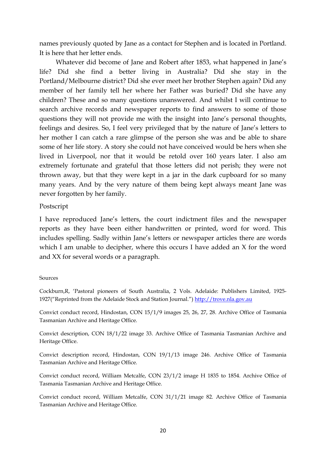names previously quoted by Jane as a contact for Stephen and is located in Portland. It is here that her letter ends.

 Whatever did become of Jane and Robert after 1853, what happened in Jane's life? Did she find a better living in Australia? Did she stay in the Portland/Melbourne district? Did she ever meet her brother Stephen again? Did any member of her family tell her where her Father was buried? Did she have any children? These and so many questions unanswered. And whilst I will continue to search archive records and newspaper reports to find answers to some of those questions they will not provide me with the insight into Jane's personal thoughts, feelings and desires. So, I feel very privileged that by the nature of Jane's letters to her mother I can catch a rare glimpse of the person she was and be able to share some of her life story. A story she could not have conceived would be hers when she lived in Liverpool, nor that it would be retold over 160 years later. I also am extremely fortunate and grateful that those letters did not perish; they were not thrown away, but that they were kept in a jar in the dark cupboard for so many many years. And by the very nature of them being kept always meant Jane was never forgotten by her family.

## Postscript

I have reproduced Jane's letters, the court indictment files and the newspaper reports as they have been either handwritten or printed, word for word. This includes spelling. Sadly within Jane's letters or newspaper articles there are words which I am unable to decipher, where this occurs I have added an X for the word and XX for several words or a paragraph.

## Sources

Cockburn,R, 'Pastoral pioneers of South Australia, 2 Vols. Adelaide: Publishers Limited, 1925- 1927("Reprinted from the Adelaide Stock and Station Journal.") http://trove.nla.gov.au

Convict conduct record, Hindostan, CON 15/1/9 images 25, 26, 27, 28. Archive Office of Tasmania Tasmanian Archive and Heritage Office.

Convict description, CON 18/1/22 image 33. Archive Office of Tasmania Tasmanian Archive and Heritage Office.

Convict description record, Hindostan, CON 19/1/13 image 246. Archive Office of Tasmania Tasmanian Archive and Heritage Office.

Convict conduct record, William Metcalfe, CON 23/1/2 image H 1835 to 1854. Archive Office of Tasmania Tasmanian Archive and Heritage Office.

Convict conduct record, William Metcalfe, CON 31/1/21 image 82. Archive Office of Tasmania Tasmanian Archive and Heritage Office.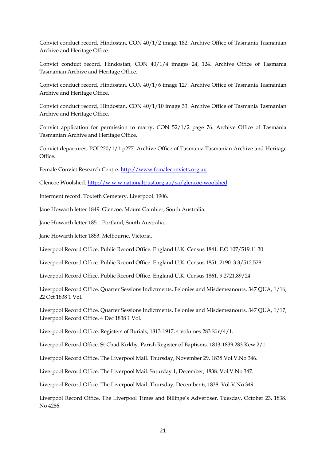Convict conduct record, Hindostan, CON 40/1/2 image 182. Archive Office of Tasmania Tasmanian Archive and Heritage Office.

Convict conduct record, Hindostan, CON 40/1/4 images 24, 124. Archive Office of Tasmania Tasmanian Archive and Heritage Office.

Convict conduct record, Hindostan, CON 40/1/6 image 127. Archive Office of Tasmania Tasmanian Archive and Heritage Office.

Convict conduct record, Hindostan, CON 40/1/10 image 33. Archive Office of Tasmania Tasmanian Archive and Heritage Office.

Convict application for permission to marry, CON 52/1/2 page 76. Archive Office of Tasmania Tasmanian Archive and Heritage Office.

Convict departures, POL220/1/1 p277. Archive Office of Tasmania Tasmanian Archive and Heritage Office.

Female Convict Research Centre. http://www.femaleconvicts.org.au

Glencoe Woolshed. http://w.w.w.nationaltrust.org.au/sa/glencoe-woolshed

Interment record. Toxteth Cemetery. Liverpool. 1906.

Jane Howarth letter 1849. Glencoe, Mount Gambier, South Australia.

Jane Howarth letter 1851. Portland, South Australia.

Jane Howarth letter 1853. Melbourne, Victoria.

Liverpool Record Office. Public Record Office. England U.K. Census 1841. F.O 107/519.11.30

Liverpool Record Office. Public Record Office. England U.K. Census 1851. 2190. 3.3/512.528.

Liverpool Record Office. Public Record Office. England U.K. Census 1861. 9.2721.89/24.

Liverpool Record Office. Quarter Sessions Indictments, Felonies and Misdemeanours. 347 QUA, 1/16, 22 Oct 1838 1 Vol.

Liverpool Record Office. Quarter Sessions Indictments, Felonies and Misdemeanours. 347 QUA, 1/17, Liverpool Record Office. 4 Dec 1838 1 Vol.

Liverpool Record Office. Registers of Burials, 1813-1917, 4 volumes 283 Kir/4/1.

Liverpool Record Office. St Chad Kirkby. Parish Register of Baptisms. 1813-1839.283 Kew 2/1.

Liverpool Record Office. The Liverpool Mail. Thursday, November 29, 1838.Vol.V.No 346.

Liverpool Record Office. The Liverpool Mail. Saturday 1, December, 1838. Vol.V.No 347.

Liverpool Record Office. The Liverpool Mail. Thursday, December 6, 1838. Vol.V.No 349.

Liverpool Record Office. The Liverpool Times and Billinge's Advertiser. Tuesday, October 23, 1838. No 4286.